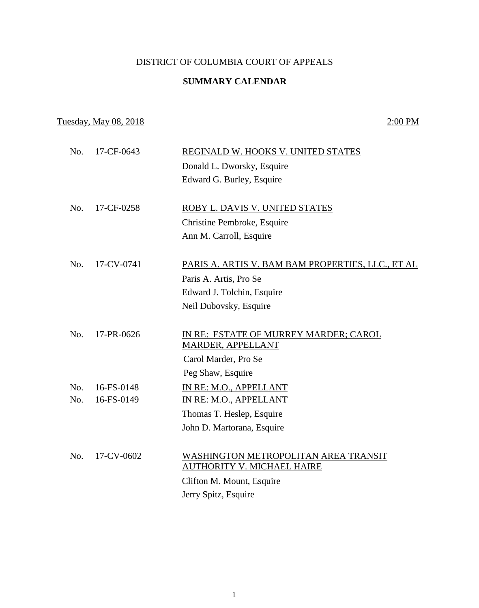#### DISTRICT OF COLUMBIA COURT OF APPEALS

# **SUMMARY CALENDAR**

# Tuesday, May 08, 2018 2:00 PM

| No. | 17-CF-0643 | REGINALD W. HOOKS V. UNITED STATES                                        |
|-----|------------|---------------------------------------------------------------------------|
|     |            | Donald L. Dworsky, Esquire                                                |
|     |            | Edward G. Burley, Esquire                                                 |
|     |            |                                                                           |
| No. | 17-CF-0258 | ROBY L. DAVIS V. UNITED STATES                                            |
|     |            | Christine Pembroke, Esquire                                               |
|     |            | Ann M. Carroll, Esquire                                                   |
|     |            |                                                                           |
| No. | 17-CV-0741 | PARIS A. ARTIS V. BAM BAM PROPERTIES, LLC., ET AL                         |
|     |            | Paris A. Artis, Pro Se                                                    |
|     |            | Edward J. Tolchin, Esquire                                                |
|     |            | Neil Dubovsky, Esquire                                                    |
|     |            |                                                                           |
| No. | 17-PR-0626 | IN RE: ESTATE OF MURREY MARDER; CAROL                                     |
|     |            | MARDER, APPELLANT                                                         |
|     |            | Carol Marder, Pro Se                                                      |
|     |            | Peg Shaw, Esquire                                                         |
| No. | 16-FS-0148 | IN RE: M.O., APPELLANT                                                    |
| No. | 16-FS-0149 | IN RE: M.O., APPELLANT                                                    |
|     |            | Thomas T. Heslep, Esquire                                                 |
|     |            | John D. Martorana, Esquire                                                |
|     |            |                                                                           |
| No. | 17-CV-0602 | WASHINGTON METROPOLITAN AREA TRANSIT<br><b>AUTHORITY V. MICHAEL HAIRE</b> |
|     |            |                                                                           |
|     |            | Clifton M. Mount, Esquire                                                 |
|     |            | Jerry Spitz, Esquire                                                      |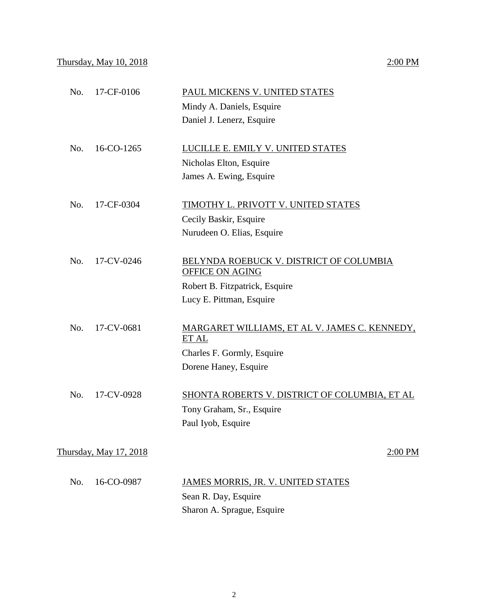### Thursday, May 10, 2018 2:00 PM

|     |                        | Mindy A. Daniels, Esquire<br>Daniel J. Lenerz, Esquire                                                                          |
|-----|------------------------|---------------------------------------------------------------------------------------------------------------------------------|
| No. | 16-CO-1265             | LUCILLE E. EMILY V. UNITED STATES<br>Nicholas Elton, Esquire<br>James A. Ewing, Esquire                                         |
| No. | 17-CF-0304             | TIMOTHY L. PRIVOTT V. UNITED STATES<br>Cecily Baskir, Esquire<br>Nurudeen O. Elias, Esquire                                     |
| No. | 17-CV-0246             | BELYNDA ROEBUCK V. DISTRICT OF COLUMBIA<br><b>OFFICE ON AGING</b><br>Robert B. Fitzpatrick, Esquire<br>Lucy E. Pittman, Esquire |
| No. | 17-CV-0681             | MARGARET WILLIAMS, ET AL V. JAMES C. KENNEDY,<br>ETAL<br>Charles F. Gormly, Esquire<br>Dorene Haney, Esquire                    |
| No. | 17-CV-0928             | SHONTA ROBERTS V. DISTRICT OF COLUMBIA, ET AL<br>Tony Graham, Sr., Esquire<br>Paul Iyob, Esquire                                |
|     | Thursday, May 17, 2018 | 2:00 PM                                                                                                                         |
| No. | 16-CO-0987             | JAMES MORRIS, JR. V. UNITED STATES<br>Sean R. Day, Esquire<br>Sharon A. Sprague, Esquire                                        |

No. 17-CF-0106 PAUL MICKENS V. UNITED STATES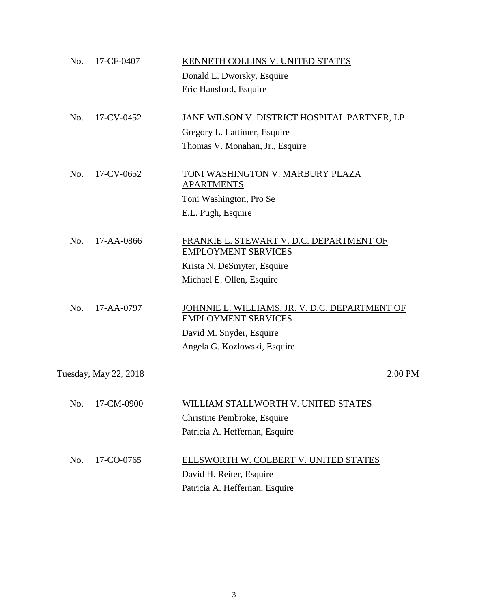| No. | 17-CF-0407                   | KENNETH COLLINS V. UNITED STATES                                             |  |
|-----|------------------------------|------------------------------------------------------------------------------|--|
|     |                              | Donald L. Dworsky, Esquire                                                   |  |
|     |                              | Eric Hansford, Esquire                                                       |  |
| No. | 17-CV-0452                   | JANE WILSON V. DISTRICT HOSPITAL PARTNER, LP                                 |  |
|     |                              | Gregory L. Lattimer, Esquire                                                 |  |
|     |                              | Thomas V. Monahan, Jr., Esquire                                              |  |
| No. | 17-CV-0652                   | TONI WASHINGTON V. MARBURY PLAZA<br><b>APARTMENTS</b>                        |  |
|     |                              | Toni Washington, Pro Se                                                      |  |
|     |                              | E.L. Pugh, Esquire                                                           |  |
| No. | 17-AA-0866                   | FRANKIE L. STEWART V. D.C. DEPARTMENT OF<br><b>EMPLOYMENT SERVICES</b>       |  |
|     |                              | Krista N. DeSmyter, Esquire                                                  |  |
|     |                              | Michael E. Ollen, Esquire                                                    |  |
| No. | 17-AA-0797                   | JOHNNIE L. WILLIAMS, JR. V. D.C. DEPARTMENT OF<br><b>EMPLOYMENT SERVICES</b> |  |
|     |                              | David M. Snyder, Esquire                                                     |  |
|     |                              | Angela G. Kozlowski, Esquire                                                 |  |
|     | <u>Tuesday, May 22, 2018</u> | $2:00$ PM                                                                    |  |
| No. | 17-CM-0900                   | WILLIAM STALLWORTH V. UNITED STATES                                          |  |
|     |                              | Christine Pembroke, Esquire                                                  |  |
|     |                              | Patricia A. Heffernan, Esquire                                               |  |
| No. | 17-CO-0765                   | ELLSWORTH W. COLBERT V. UNITED STATES                                        |  |
|     |                              | David H. Reiter, Esquire                                                     |  |
|     |                              | Patricia A. Heffernan, Esquire                                               |  |
|     |                              |                                                                              |  |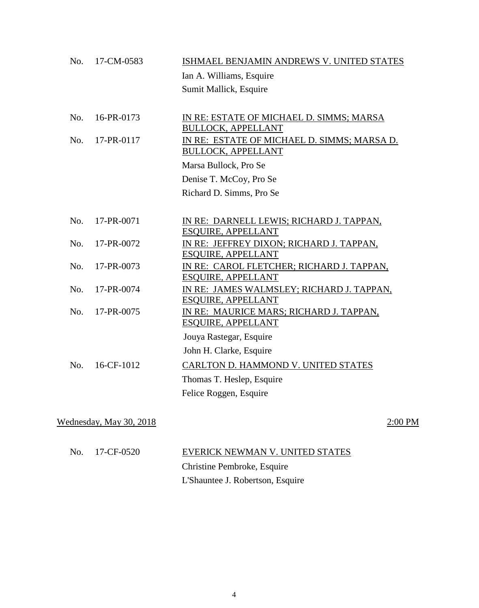| No. | 17-CM-0583              | ISHMAEL BENJAMIN ANDREWS V. UNITED STATES                                |         |
|-----|-------------------------|--------------------------------------------------------------------------|---------|
|     |                         | Ian A. Williams, Esquire                                                 |         |
|     |                         | Sumit Mallick, Esquire                                                   |         |
|     |                         |                                                                          |         |
| No. | 16-PR-0173              | IN RE: ESTATE OF MICHAEL D. SIMMS; MARSA                                 |         |
| No. | 17-PR-0117              | <b>BULLOCK, APPELLANT</b>                                                |         |
|     |                         | IN RE: ESTATE OF MICHAEL D. SIMMS; MARSA D.<br><b>BULLOCK, APPELLANT</b> |         |
|     |                         | Marsa Bullock, Pro Se                                                    |         |
|     |                         | Denise T. McCoy, Pro Se                                                  |         |
|     |                         | Richard D. Simms, Pro Se                                                 |         |
|     |                         |                                                                          |         |
| No. | 17-PR-0071              | IN RE: DARNELL LEWIS; RICHARD J. TAPPAN,                                 |         |
|     |                         | <b>ESQUIRE, APPELLANT</b>                                                |         |
| No. | 17-PR-0072              | IN RE: JEFFREY DIXON; RICHARD J. TAPPAN,<br><b>ESQUIRE, APPELLANT</b>    |         |
| No. | 17-PR-0073              | IN RE: CAROL FLETCHER; RICHARD J. TAPPAN,                                |         |
|     |                         | <b>ESQUIRE, APPELLANT</b>                                                |         |
| No. | 17-PR-0074              | IN RE: JAMES WALMSLEY; RICHARD J. TAPPAN,                                |         |
|     |                         | <b>ESQUIRE, APPELLANT</b>                                                |         |
| No. | 17-PR-0075              | IN RE: MAURICE MARS; RICHARD J. TAPPAN,                                  |         |
|     |                         | <b>ESQUIRE, APPELLANT</b>                                                |         |
|     |                         | Jouya Rastegar, Esquire                                                  |         |
|     |                         | John H. Clarke, Esquire                                                  |         |
| No. | 16-CF-1012              | <b>CARLTON D. HAMMOND V. UNITED STATES</b>                               |         |
|     |                         | Thomas T. Heslep, Esquire                                                |         |
|     |                         | Felice Roggen, Esquire                                                   |         |
|     |                         |                                                                          |         |
|     | Wednesday, May 30, 2018 |                                                                          | 2:00 PM |
|     |                         |                                                                          |         |
|     |                         |                                                                          |         |

| No. 17-CF-0520 | EVERICK NEWMAN V. UNITED STATES  |
|----------------|----------------------------------|
|                | Christine Pembroke, Esquire      |
|                | L'Shauntee J. Robertson, Esquire |